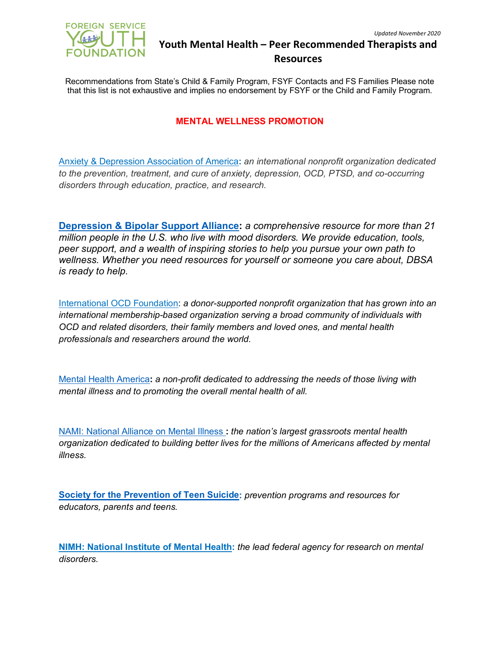

Recommendations from State's Child & Family Program, FSYF Contacts and FS Families Please note that this list is not exhaustive and implies no endorsement by FSYF or the Child and Family Program.

#### **MENTAL WELLNESS PROMOTION**

Anxiety & Depression [Association](https://adaa.org/) of America**:** *an international nonprofit organization dedicated to the prevention, treatment, and cure of anxiety, depression, OCD, PTSD, and co-occurring disorders through education, practice, and research.*

**[Depression](https://www.dbsalliance.org/) & Bipolar Support Alliance:** *a comprehensive resource for more than 21 million people in the U.S. who live with mood disorders. We provide education, tools, peer support, and a wealth of inspiring stories to help you pursue your own path to wellness. Whether you need resources for yourself or someone you care about, DBSA is ready to help.*

[International](https://iocdf.org/) OCD Foundation: *a donor-supported nonprofit organization that has grown into an international membership-based organization serving a broad community of individuals with OCD and related disorders, their family members and loved ones, and mental health professionals and researchers around the world.* 

Mental Health [America](http://www.mentalhealthamerica.net/)**:** *a non-profit dedicated to addressing the needs of those living with mental illness and to promoting the overall mental health of all.*

NAMI: [National](http://www.nami.org/) Alliance on Mental Illness **:** *the nation's largest grassroots mental health organization dedicated to building better lives for the millions of Americans affected by mental illness.*

**[Society for the Prevention of Teen Suicide:](http://www.sptsusa.org/)** *prevention programs and resources for educators, parents and teens.*

**NIMH: [National](http://www.nimh.nih.gov/) Institute of Mental Health:** *the lead federal agency for research on mental disorders.*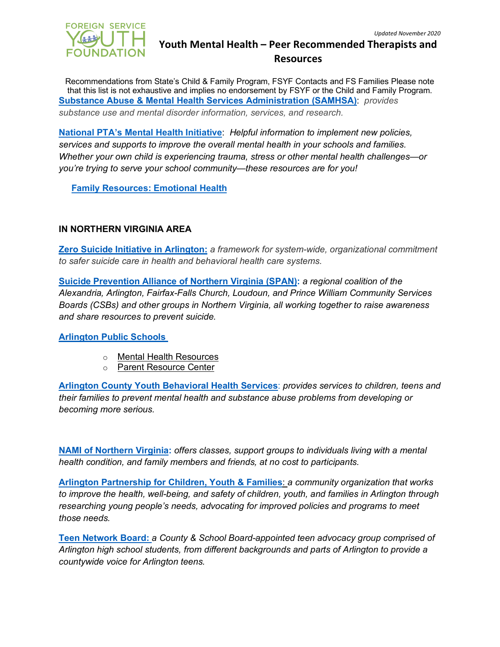

Recommendations from State's Child & Family Program, FSYF Contacts and FS Families Please note that this list is not exhaustive and implies no endorsement by FSYF or the Child and Family Program. **[Substance Abuse & Mental Health Services Administration \(SAMHSA\)](https://www.samhsa.gov/prevention)**: *provides substance use and mental disorder information, services, and research.*

**[National PTA's Mental Health Initiative](https://www.pta.org/)**: *Helpful information to implement new policies, services and supports to improve the overall mental health in your schools and families. Whether your own child is experiencing trauma, stress or other mental health challenges—or you're trying to serve your school community—these resources are for you!*

**[Family Resources: Emotional Health](https://www.pta.org/home/family-resources/health/Emotional-Health)**

### **IN NORTHERN VIRGINIA AREA**

**[Zero Suicide](https://zerosuicide.sprc.org/) Initiative in [Arlington:](https://health.arlingtonva.us/suicide-prevention-awareness/)** *a framework for system-wide, organizational commitment to safer suicide care in health and behavioral health care systems.*

**[Suicide Prevention Alliance of Northern Virginia \(SPAN\):](http://www.suicidepreventionnva.org/)** *a regional coalition of the Alexandria, Arlington, Fairfax-Falls Church, Loudoun, and Prince William Community Services Boards (CSBs) and other groups in Northern Virginia, all working together to raise awareness and share resources to prevent suicide.*

#### **[Arlington Public Schools](https://www.apsva.us/mental-health-services/mental-health-resources/)**

- o [Mental Health Resources](https://www.apsva.us/mental-health-services/mental-health-resources/)
- o [Parent Resource Center](https://www.apsva.us/special-education/parent-resource-center/)

**Arlington County [Youth Behavioral Health Services](https://family.arlingtonva.us/childrens-behavioral-healthcare/)**: *provides services to children, teens and their families to prevent mental health and substance abuse problems from developing or becoming more serious.*

**[NAMI of Northern Virginia:](https://www.nami-northernvirginia.org/)** *offers classes, support groups to individuals living with a mental health condition, and family members and friends, at no cost to participants.*

**[Arlington Partnership for Children, Youth & Families](https://apcyf.arlingtonva.us/)**: *a community organization that works to improve the health, well-being, and safety of children, youth, and families in Arlington through researching young people's needs, advocating for improved policies and programs to meet those needs.*

**[Teen Network Board:](https://teens.arlingtonva.us/tnb/)** *a County & School Board-appointed teen advocacy group comprised of Arlington high school students, from different backgrounds and parts of Arlington to provide a countywide voice for Arlington teens.*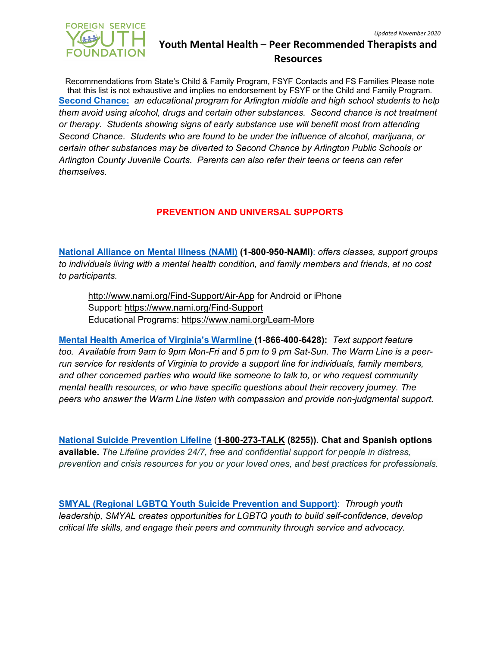

Recommendations from State's Child & Family Program, FSYF Contacts and FS Families Please note that this list is not exhaustive and implies no endorsement by FSYF or the Child and Family Program. **[Second Chance:](https://secondchancearlington.org/)** *an educational program for Arlington middle and high school students to help them avoid using alcohol, drugs and certain other substances. Second chance is not treatment or therapy. Students showing signs of early substance use will benefit most from attending Second Chance. Students who are found to be under the influence of alcohol, marijuana, or certain other substances may be diverted to Second Chance by Arlington Public Schools or Arlington County Juvenile Courts. Parents can also refer their teens or teens can refer themselves.*

### **PREVENTION AND UNIVERSAL SUPPORTS**

**[National Alliance on Mental Illness \(NAMI\)](http://www.nami.org/) (1-800-950-NAMI)**: *offers classes, support groups to individuals living with a mental health condition, and family members and friends, at no cost to participants.*

<http://www.nami.org/Find-Support/Air-App> for Android or iPhone Support:<https://www.nami.org/Find-Support> Educational Programs:<https://www.nami.org/Learn-More>

**[Mental Health America of Virginia's Warmline \(](https://mhav.org/support/warm-line/)1-866-400-6428):** *Text support feature*  too. Available from 9am to 9pm Mon-Fri and 5 pm to 9 pm Sat-Sun. The Warm Line is a peer*run service for residents of Virginia to provide a support line for individuals, family members, and other concerned parties who would like someone to talk to, or who request community mental health resources, or who have specific questions about their recovery journey. The peers who answer the Warm Line listen with compassion and provide non-judgmental support.*

**[National Suicide Prevention Lifeline](http://www.suicidepreventionlifeline.org/)** (**[1-800-273-TALK](about:blank) (8255)). Chat and Spanish options available.** *The Lifeline provides 24/7, free and confidential support for people in distress, prevention and crisis resources for you or your loved ones, and best practices for professionals.*

**[SMYAL \(Regional LGBTQ Youth Suicide Prevention and Support\)](http://www.smyal.org/resources)**: *Through youth leadership, SMYAL creates opportunities for LGBTQ youth to build self-confidence, develop critical life skills, and engage their peers and community through service and advocacy.*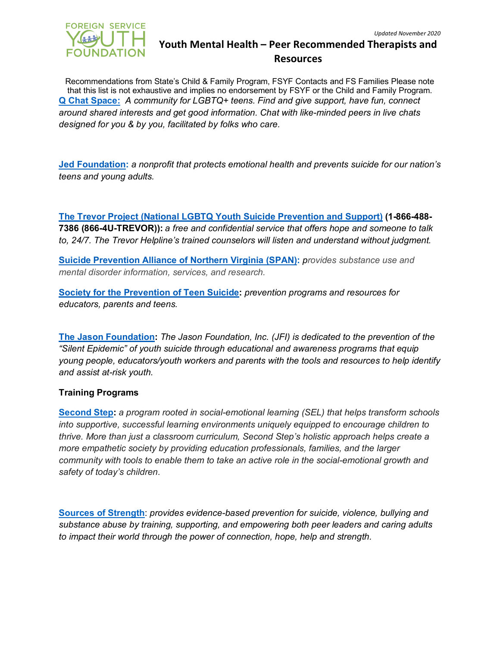

Recommendations from State's Child & Family Program, FSYF Contacts and FS Families Please note that this list is not exhaustive and implies no endorsement by FSYF or the Child and Family Program. **[Q Chat Space:](https://www.qchatspace.org/)** *A community for LGBTQ+ teens. Find and give support, have fun, connect around shared interests and get good information. Chat with like-minded peers in live chats designed for you & by you, facilitated by folks who care.*

**[Jed Foundation:](https://www.jedfoundation.org/)** *a nonprofit that protects emotional health and prevents suicide for our nation's teens and young adults.*

**[The Trevor Project \(National LGBTQ Youth Suicide Prevention and Support\)](http://www.thetrevorproject.org/) (1-866-488- 7386 (866-4U-TREVOR)):** *a free and confidential service that offers hope and someone to talk to, 24/7. The Trevor Helpline's trained counselors will listen and understand without judgment.*

**[Suicide Prevention Alliance of Northern Virginia \(SPAN\):](http://www.suicidepreventionnva.org/)** *provides substance use and mental disorder information, services, and research.*

**[Society for the Prevention of Teen Suicide:](http://www.sptsusa.org/)** *prevention programs and resources for educators, parents and teens.*

**[The Jason Foundation:](https://jasonfoundation.com/)** *The Jason Foundation, Inc. (JFI) is dedicated to the prevention of the "Silent Epidemic" of youth suicide through educational and awareness programs that equip young people, educators/youth workers and parents with the tools and resources to help identify and assist at-risk youth.*

#### **Training Programs**

**[Second Step:](https://www.secondstep.org/)** *a program rooted in social-emotional learning (SEL) that helps transform schools into supportive, successful learning environments uniquely equipped to encourage children to thrive. More than just a classroom curriculum, Second Step's holistic approach helps create a more empathetic society by providing education professionals, families, and the larger community with tools to enable them to take an active role in the social-emotional growth and safety of today's children*.

**[Sources of Strength](https://sourcesofstrength.org/)**: *provides evidence-based prevention for suicide, violence, bullying and substance abuse by training, supporting, and empowering both peer leaders and caring adults to impact their world through the power of connection, hope, help and strength.*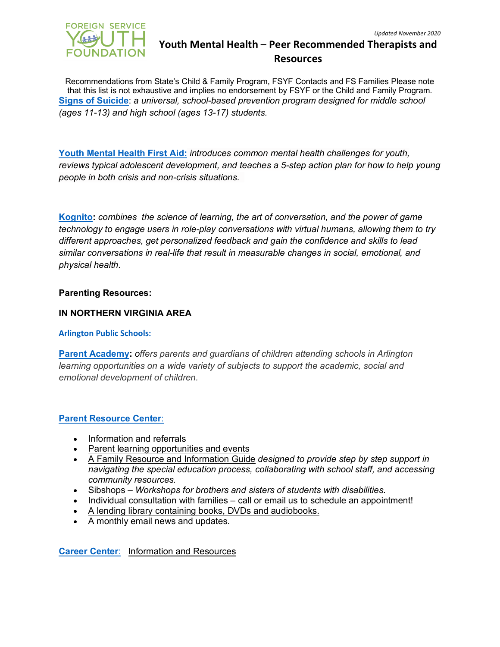

Recommendations from State's Child & Family Program, FSYF Contacts and FS Families Please note that this list is not exhaustive and implies no endorsement by FSYF or the Child and Family Program. **[Signs of Suicide](https://www.sprc.org/resources-programs/sos-signs-suicide)**: *a universal, school-based prevention program designed for middle school (ages 11-13) and high school (ages 13-17) students.*

**[Youth Mental Health First Aid:](https://www.mentalhealthfirstaid.org/population-focused-modules/youth/)** *introduces common mental health challenges for youth, reviews typical adolescent development, and teaches a 5-step action plan for how to help young people in both crisis and non-crisis situations.* 

**[Kognito:](https://kognito.com/about)** *combines the science of learning, the art of conversation, and the power of game technology to engage users in role-play conversations with virtual humans, allowing them to try different approaches, get personalized feedback and gain the confidence and skills to lead similar conversations in real-life that result in measurable changes in social, emotional, and physical health.*

### **Parenting Resources:**

### **IN NORTHERN VIRGINIA AREA**

#### **Arlington Public Schools:**

**[Parent Academy:](https://parentacademymiami.com/)** offers parents and guardians of children attending schools in Arlington *learning opportunities on a wide variety of subjects to support the academic, social and emotional development of children.*

#### **[Parent Resource Center](https://www.apsva.us/special-education/parent-resource-center/)**:

- Information and referrals
- [Parent learning opportunities and events](https://www.apsva.us/special-education/parent-resource-center/event-calendar/)
- [A Family Resource and Information Guide](https://www.apsva.us/wp-content/uploads/2015/04/Family-Resource-Guide-FINAL-WEB-5.18.17.pdf) *designed to provide step by step support in navigating the special education process, collaborating with school staff, and accessing community resources.*
- Sibshops *Workshops for brothers and sisters of students with disabilities*.
- Individual consultation with families call or email us to schedule an appointment!
- [A lending library containing books, DVDs and audiobooks.](https://www.apsva.us/special-education/parent-resource-center/prc-library/)
- A monthly email news and updates.

**[Career Center](https://careercenter.apsva.us/):** [Information and Resources](https://www.parentcenterhub.org/)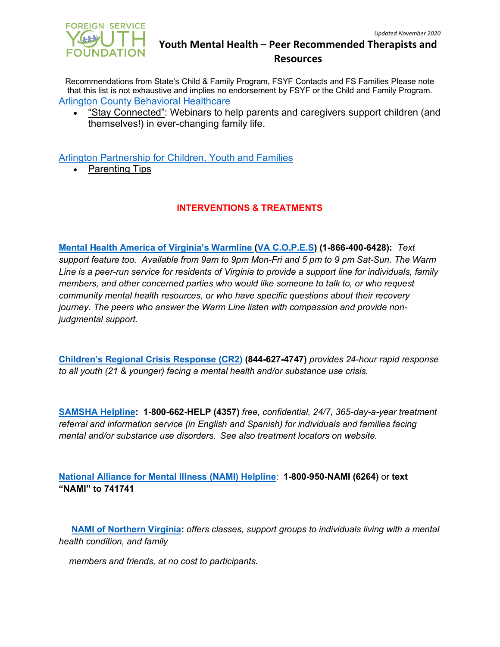

Recommendations from State's Child & Family Program, FSYF Contacts and FS Families Please note that this list is not exhaustive and implies no endorsement by FSYF or the Child and Family Program. **[Arlington County Behavioral Healthcare](https://health.arlingtonva.us/behavioral-healthcare/)** 

• ["Stay Connected":](https://apcyf.arlingtonva.us/parent-support/) Webinars to help parents and caregivers support children (and themselves!) in ever-changing family life.

### [Arlington Partnership for Children, Youth and Families](https://apcyf.arlingtonva.us/)

[Parenting Tips](https://www.cdc.gov/ncbddd/childdevelopment/positiveparenting/index.html)

### **INTERVENTIONS & TREATMENTS**

**[Mental Health America of Virginia's Warmline](https://mhav.org/support/warm-line/) [\(VA C.O.P.E.S\)](https://vacopes.com/) (1-866-400-6428):** *Text support feature too. Available from 9am to 9pm Mon-Fri and 5 pm to 9 pm Sat-Sun. The Warm Line is a peer-run service for residents of Virginia to provide a support line for individuals, family members, and other concerned parties who would like someone to talk to, or who request community mental health resources, or who have specific questions about their recovery journey. The peers who answer the Warm Line listen with compassion and provide nonjudgmental support.*

**[Children's Regional Crisis Response \(CR2\)](http://ncgcommunity.com/crisis-services/cr2) (844-627-4747)** *provides 24-hour rapid response to all youth (21 & younger) facing a mental health and/or substance use crisis.*

**[SAMSHA Helpline:](https://www.samhsa.gov/) 1-800-662-HELP (4357)** *free, confidential, 24/7, 365-day-a-year treatment referral and information service (in English and Spanish) for individuals and families facing mental and/or substance use disorders. See also treatment locators on website.*

**[National Alliance for Mental Illness \(NAMI\) Helpline](https://www.nami.org/help)**: **1-800-950-NAMI (6264)** or **text "NAMI" to 741741**

**NAMI [of Northern Virginia:](https://www.nami-northernvirginia.org/)** *offers classes, support groups to individuals living with a mental health condition, and family*

 *members and friends, at no cost to participants.*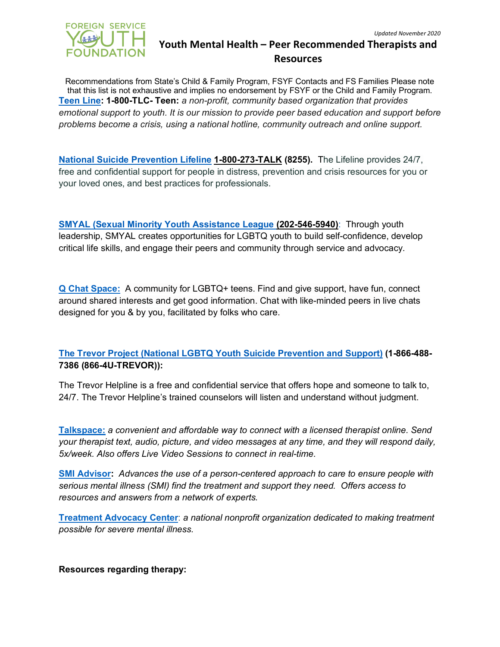

Recommendations from State's Child & Family Program, FSYF Contacts and FS Families Please note that this list is not exhaustive and implies no endorsement by FSYF or the Child and Family Program. **[Teen Line:](https://teenlineonline.org/teentalkapp/) 1-800-TLC- Teen:** *a non-profit, community based organization that provides emotional support to youth. It is our mission to provide peer based education and support before problems become a crisis, using a national hotline, community outreach and online support.*

**[National Suicide Prevention Lifeline](http://www.suicidepreventionlifeline.org/) [1-800-273-TALK](about:blank) (8255).** The Lifeline provides 24/7, free and confidential support for people in distress, prevention and crisis resources for you or your loved ones, and best practices for professionals.

**[SMYAL \(Sexual Minority Youth Assistance League \(202-546-5940\)](http://www.smyal.org/resources)**: Through youth leadership, SMYAL creates opportunities for LGBTQ youth to build self-confidence, develop critical life skills, and engage their peers and community through service and advocacy.

**[Q Chat Space:](https://www.qchatspace.org/)** A community for LGBTQ+ teens. Find and give support, have fun, connect around shared interests and get good information. Chat with like-minded peers in live chats designed for you & by you, facilitated by folks who care.

### **[The Trevor Project \(National LGBTQ Youth Suicide Prevention and Support\)](http://www.thetrevorproject.org/) (1-866-488- 7386 (866-4U-TREVOR)):**

The Trevor Helpline is a free and confidential service that offers hope and someone to talk to, 24/7. The Trevor Helpline's trained counselors will listen and understand without judgment.

**[Talkspace:](https://www.talkspace.com/)** *a convenient and affordable way to connect with a licensed therapist online. Send your therapist text, audio, picture, and video messages at any time, and they will respond daily, 5x/week. Also offers Live Video Sessions to connect in real-time.*

**[SMI Advisor:](https://smiadviser.org/)** *Advances the use of a person-centered approach to care to ensure people with serious mental illness (SMI) find the treatment and support they need. Offers access to resources and answers from a network of experts.*

**[Treatment Advocacy Center](https://www.treatmentadvocacycenter.org/)**: *a national nonprofit organization dedicated to making treatment possible for severe mental illness.*

**Resources regarding therapy:**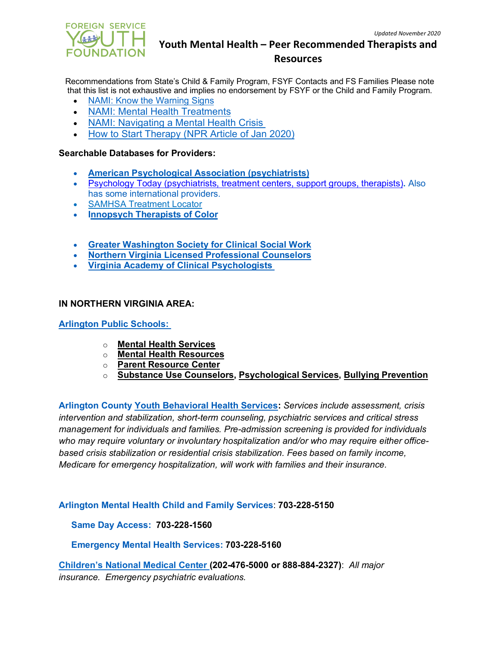

Recommendations from State's Child & Family Program, FSYF Contacts and FS Families Please note that this list is not exhaustive and implies no endorsement by FSYF or the Child and Family Program.

- [NAMI: Know the Warning Signs](https://nami.org/About-Mental-Illness/Warning-Signs-and-Symptoms)
- [NAMI: Mental Health Treatments](https://nami.org/About-Mental-Illness/Treatments)
- [NAMI: Navigating a Mental Health Crisis](https://www.nami.org/Support-Education/Publications-Reports/Guides/Navigating-a-Mental-Health-Crisis)
- [How to Start Therapy \(NPR Article of Jan 2020\)](https://www.npr.org/2019/12/11/787058888/how-to-start-therapy)

#### **Searchable Databases for Providers:**

- **[American Psychological Association](https://locator.apa.org/?_ga=2.84642649.1341540532.1586991876-461324098.1586991876) (psychiatrists)**
- [Psychology Today \(psychiatrists, treatment centers, support groups, therapists\)](https://www.psychologytoday.com/us/)**.** Also has some international providers.
- [SAMHSA Treatment Locator](https://www.samhsa.gov/find-treatment)
- **[Innopsych Therapists of Color](https://www.innopsych.com/)**
- **[Greater Washington Society for Clinical Social Work](https://www.gwscsw.org/Disclaimer)**
- **[Northern Virginia Licensed Professional Counselors](https://www.nvlpc.org/search/custom.asp?id=1453)**
- **[Virginia Academy of Clinical Psychologists](https://www.vapsych.org/find-a-clinical-psychologist-in-your-community#/)**

#### **IN NORTHERN VIRGINIA AREA:**

**[Arlington Public Schools:](https://www.apsva.us/mental-health-services/)**

- o **[Mental Health Services](https://www.apsva.us/mental-health-services/)**
- o **[Mental Health Resources](https://www.apsva.us/mental-health-services/mental-health-resources/)**
- o **[Parent Resource Center](https://www.apsva.us/special-education/parent-resource-center/)**
- o **[Substance Use Counselors,](https://www.apsva.us/student-services/substance-abuse-counselors/) [Psychological Services,](https://www.apsva.us/student-services/psychological-services/) [Bullying Prevention](https://www.apsva.us/student-services/bully-prevention/)**

**Arlington County [Youth Behavioral Health Services:](https://family.arlingtonva.us/childrens-behavioral-healthcare/)** *Services include assessment, crisis intervention and stabilization, short-term counseling, psychiatric services and critical stress management for individuals and families. Pre-admission screening is provided for individuals who may require voluntary or involuntary hospitalization and/or who may require either officebased crisis stabilization or residential crisis stabilization. Fees based on family income, Medicare for emergency hospitalization, will work with families and their insurance.*

**Arlington Mental Health Child and Family Services**: **703-228-5150**

**Same Day Access: 703-228-1560**

 **Emergency Mental Health Services: 703-228-5160**

**[Children's National Medical Center](https://childrensnational.org/) (202-476-5000 or 888-884-2327)**: *All major insurance. Emergency psychiatric evaluations.*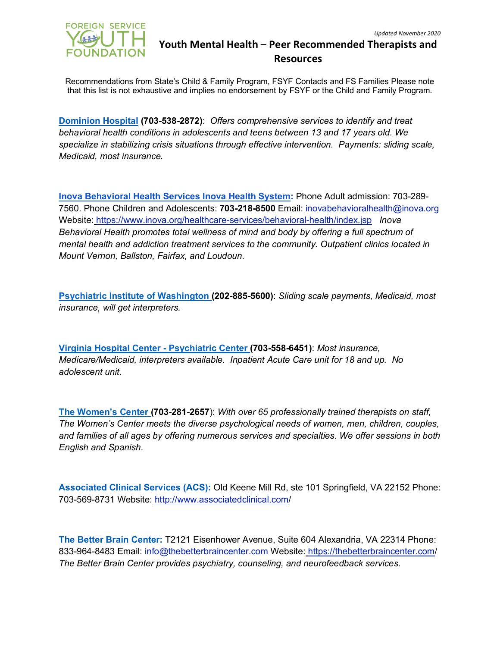

Recommendations from State's Child & Family Program, FSYF Contacts and FS Families Please note that this list is not exhaustive and implies no endorsement by FSYF or the Child and Family Program.

**[Dominion Hospital](https://dominionhospital.com/service/adolescent-mental-health-care) (703-538-2872)**: *Offers comprehensive services to identify and treat behavioral health conditions in adolescents and teens between 13 and 17 years old. We specialize in stabilizing crisis situations through effective intervention. Payments: sliding scale, Medicaid, most insurance.*

**Inova Behavioral Health Services Inova Health System:** Phone Adult admission: 703-289- 7560. Phone Children and Adolescents: **703-218-8500** Email: inovabehavioralhealth@inova.org Website: <https://www.inova.org/healthcare-services/behavioral-health/index.jsp> *Inova Behavioral Health promotes total wellness of mind and body by offering a full spectrum of mental health and addiction treatment services to the community. Outpatient clinics located in Mount Vernon, Ballston, Fairfax, and Loudoun.*

**[Psychiatric Institute of Washington](https://psychinstitute.com/) (202-885-5600)**: *Sliding scale payments, Medicaid, most insurance, will get interpreters.*

**[Virginia Hospital Center -](https://www.virginiahospitalcenter.com/medical-services/behavioral-mental-health/) Psychiatric Center (703-558-6451)**: *Most insurance, Medicare/Medicaid, interpreters available. Inpatient Acute Care unit for 18 and up. No adolescent unit.*

**[The Women's Center \(](https://thewomenscenter.org/)703-281-2657**): *With over 65 professionally trained therapists on staff, The Women's Center meets the diverse psychological needs of women, men, children, couples, and families of all ages by offering numerous services and specialties. We offer sessions in both English and Spanish.*

**Associated Clinical Services (ACS):** Old Keene Mill Rd, ste 101 Springfield, VA 22152 Phone: 703-569-8731 Website: <http://www.associatedclinical.com/>

**The Better Brain Center:** T2121 Eisenhower Avenue, Suite 604 Alexandria, VA 22314 Phone: 833-964-8483 Email: info@thebetterbraincenter.com Website: <https://thebetterbraincenter.com/> *The Better Brain Center provides psychiatry, counseling, and neurofeedback services.*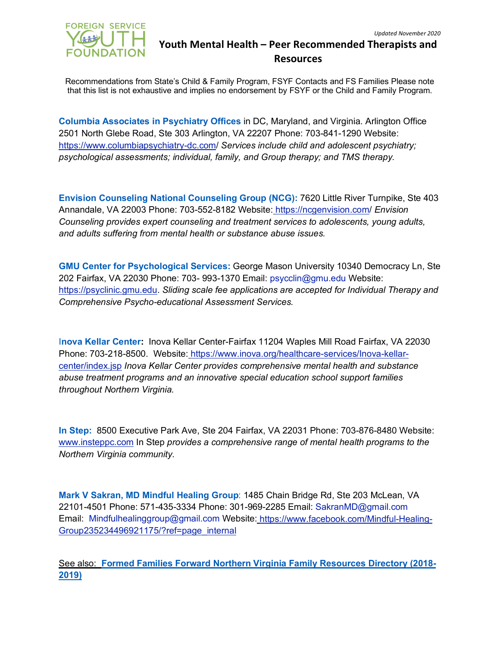

Recommendations from State's Child & Family Program, FSYF Contacts and FS Families Please note that this list is not exhaustive and implies no endorsement by FSYF or the Child and Family Program.

**Columbia Associates in Psychiatry Offices** in DC, Maryland, and Virginia. Arlington Office 2501 North Glebe Road, Ste 303 Arlington, VA 22207 Phone: 703-841-1290 Website[:](https://www.columbiapsychiatry-dc.com/) <https://www.columbiapsychiatry-dc.com/> *Services include child and adolescent psychiatry; psychological assessments; individual, family, and Group therapy; and TMS therapy.*

**Envision Counseling National Counseling Group (NCG):** 7620 Little River Turnpike, Ste 403 Annandale, VA 22003 Phone: 703-552-8182 Website: <https://ncgenvision.com/> *Envision Counseling provides expert counseling and treatment services to adolescents, young adults, and adults suffering from mental health or substance abuse issues.*

**GMU Center for Psychological Services:** George Mason University 10340 Democracy Ln, Ste 202 Fairfax, VA 22030 Phone: 703- 993-1370 Email: psycclin@gmu.edu Website[:](https://psyclinic.gmu.edu/) [https://psyclinic.gmu.edu.](https://psyclinic.gmu.edu/) *Sliding scale fee applications are accepted for Individual Therapy and Comprehensive Psycho-educational Assessment Services.*

I**nova Kellar Center:** Inova Kellar Center-Fairfax 11204 Waples Mill Road Fairfax, VA 22030 Phone: 703-218-8500. Website: [https://www.inova.org/healthcare-services/Inova-kellar](https://www.inova.org/healthcare-services/Inova-kellar-center/index.jsp)[center/index.jsp](https://www.inova.org/healthcare-services/Inova-kellar-center/index.jsp) *Inova Kellar Center provides comprehensive mental health and substance abuse treatment programs and an innovative special education school support families throughout Northern Virginia.*

**In Step:** 8500 Executive Park Ave, Ste 204 Fairfax, VA 22031 Phone: 703-876-8480 Website[:](http://www.insteppc.com/) [www.insteppc.com](http://www.insteppc.com/) In Step *provides a comprehensive range of mental health programs to the Northern Virginia community.*

**Mark V Sakran, MD Mindful Healing Group**: 1485 Chain Bridge Rd, Ste 203 McLean, VA 22101-4501 Phone: 571-435-3334 Phone: 301-969-2285 Email: SakranMD@gmail.com Email: Mindfulhealinggroup@gmail.com Website: [https://www.facebook.com/Mindful-Healing-](https://www.facebook.com/Mindful-Healing-Group235234496921175/?ref=page_internal)[Group235234496921175/?ref=page\\_internal](https://www.facebook.com/Mindful-Healing-Group235234496921175/?ref=page_internal)

See also: **[Formed Families Forward Northern Virginia Family Resources Directory \(2018-](https://www.formedfamiliesforward.org/wp-content/uploads/2018/08/2018-2019-Formed-Families-Resource-Directory.pdf) [2019\)](https://www.formedfamiliesforward.org/wp-content/uploads/2018/08/2018-2019-Formed-Families-Resource-Directory.pdf)**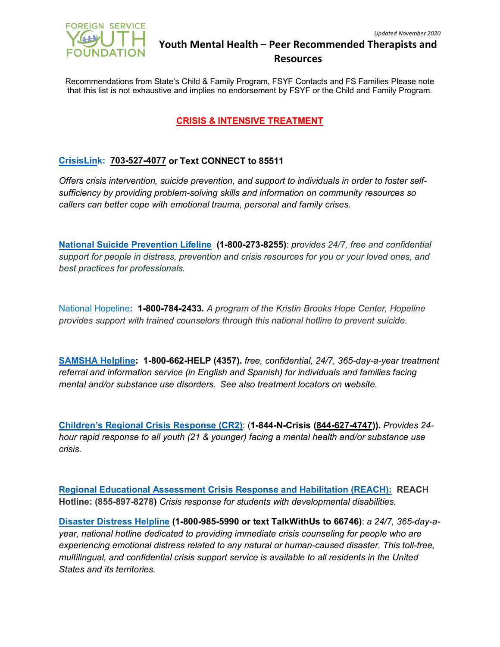

Recommendations from State's Child & Family Program, FSYF Contacts and FS Families Please note that this list is not exhaustive and implies no endorsement by FSYF or the Child and Family Program.

### **CRISIS & INTENSIVE TREATMENT**

### **[CrisisLink](https://prsinc.org/crisislink/): [703-527-4077](about:blank) or Text CONNECT to 85511**

*Offers crisis intervention, suicide prevention, and support to individuals in order to foster selfsufficiency by providing problem-solving skills and information on community resources so callers can better cope with emotional trauma, personal and family crises.*

**[National Suicide Prevention Lifeline](https://suicidepreventionlifeline.org/) (1-800-273-8255)**: *provides 24/7, free and confidential support for people in distress, prevention and crisis resources for you or your loved ones, and best practices for professionals.*

[National Hopeline](https://nationaltoolkit.csw.fsu.edu/resource/national-hopeline-network-suicide-crisis-hotline-1-800-442-hope4673/)**: 1-800-784-2433.** *A program of the Kristin Brooks Hope Center, Hopeline provides support with trained counselors through this national hotline to prevent suicide.*

**[SAMSHA Helpline:](https://www.samhsa.gov/) 1-800-662-HELP (4357).** *free, confidential, 24/7, 365-day-a-year treatment referral and information service (in English and Spanish) for individuals and families facing mental and/or substance use disorders. See also treatment locators on website.*

**[Children's Regional Crisis Response \(CR2\)](http://ncgcommunity.com/crisis-services/cr2)**: (**1-844-N-Crisis [\(844-627-4747\)](about:blank)).** *Provides 24 hour rapid response to all youth (21 & younger) facing a mental health and/or substance use crisis.*

**[Regional Educational Assessment Crisis Response and Habilitation \(REACH\):](http://www.dbhds.virginia.gov/developmental-services/Crisis-services) REACH Hotline: (855-897-8278)** *Crisis response for students with developmental disabilities.*

**[Disaster Distress Helpline](https://www.samhsa.gov/find-help/disaster-distress-helpline) (1-800-985-5990 or text TalkWithUs to 66746)**: *a 24/7, 365-day-ayear, national hotline dedicated to providing immediate crisis counseling for people who are experiencing emotional distress related to any natural or human-caused disaster. This toll-free, multilingual, and confidential crisis support service is available to all residents in the United States and its territories.*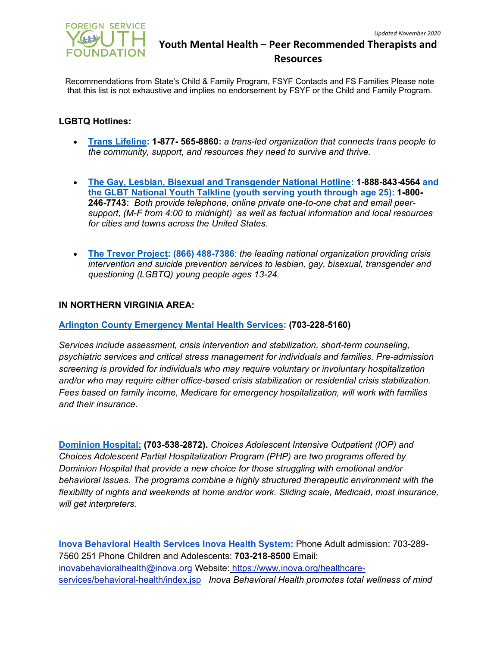

Recommendations from State's Child & Family Program, FSYF Contacts and FS Families Please note that this list is not exhaustive and implies no endorsement by FSYF or the Child and Family Program.

#### **LGBTQ Hotlines:**

- **[Trans Lifeline:](https://www.translifeline.org/) 1-877- 565-8860:** *a trans-led organization that connects trans people to the community, support, and resources they need to survive and thrive.*
- **[The Gay, Lesbian, Bisexual and Transgender National Hotline:](http://www.glbthotline.org/hotline.html) 1-888-843-4564 and [the GLBT National Youth Talkline](http://www.glbthotline.org/talkline.html) (youth serving youth through age 25): 1-800- 246-7743:** *Both provide telephone, online private one-to-one chat and email peersupport, (M-F from 4:00 to midnight) as well as factual information and local resources for cities and towns across the United States.*
- **[The Trevor Project:](http://www.thetrevorproject.org/) (866) 488-7386**: *the leading national organization providing crisis intervention and suicide prevention services to lesbian, gay, bisexual, transgender and questioning (LGBTQ) young people ages 13-24.*

#### **IN NORTHERN VIRGINIA AREA:**

#### **[Arlington County Emergency Mental Health Services:](https://health.arlingtonva.us/behavioral-healthcare/mental-health/emergency-services/) (703-228-5160)**

*Services include assessment, crisis intervention and stabilization, short-term counseling, psychiatric services and critical stress management for individuals and families. Pre-admission screening is provided for individuals who may require voluntary or involuntary hospitalization and/or who may require either office-based crisis stabilization or residential crisis stabilization. Fees based on family income, Medicare for emergency hospitalization, will work with families and their insurance.*

**[Dominion Hospital:](https://dominionhospital.com/service/choices-outpatient-services) (703-538-2872).** *Choices Adolescent Intensive Outpatient (IOP) and Choices Adolescent Partial Hospitalization Program (PHP) are two programs offered by Dominion Hospital that provide a new choice for those struggling with emotional and/or behavioral issues. The programs combine a highly structured therapeutic environment with the flexibility of nights and weekends at home and/or work. Sliding scale, Medicaid, most insurance, will get interpreters.*

**Inova Behavioral Health Services Inova Health System:** Phone Adult admission: 703-289- 7560 251 Phone Children and Adolescents: **703-218-8500** Email: inovabehavioralhealth@inova.org Website: [https://www.inova.org/healthcare](https://www.inova.org/healthcare-services/behavioral-health/index.jsp)[services/behavioral-health/index.jsp](https://www.inova.org/healthcare-services/behavioral-health/index.jsp) *Inova Behavioral Health promotes total wellness of mind*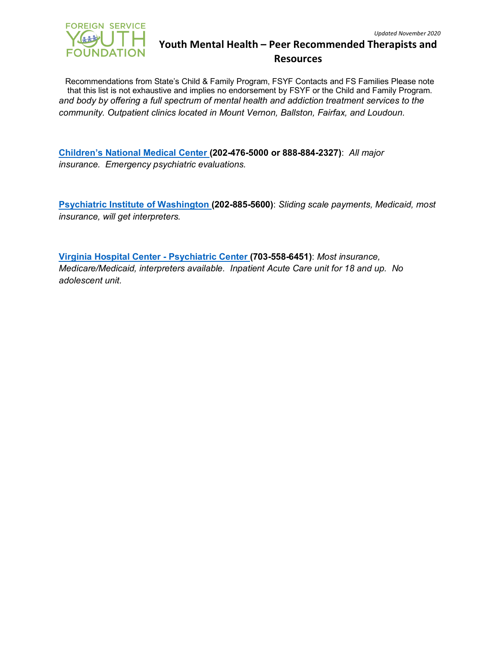Recommendations from State's Child & Family Program, FSYF Contacts and FS Families Please note that this list is not exhaustive and implies no endorsement by FSYF or the Child and Family Program. *and body by offering a full spectrum of mental health and addiction treatment services to the community. Outpatient clinics located in Mount Vernon, Ballston, Fairfax, and Loudoun.*

**[Children's National Medical Center](https://childrensnational.org/) (202-476-5000 or 888-884-2327)**: *All major insurance. Emergency psychiatric evaluations.*

**[Psychiatric Institute of Washington](https://psychinstitute.com/) (202-885-5600)**: *Sliding scale payments, Medicaid, most insurance, will get interpreters.*

**Virginia Hospital Center - [Psychiatric Center \(](https://www.virginiahospitalcenter.com/medical-services/behavioral-mental-health/)703-558-6451)**: *Most insurance, Medicare/Medicaid, interpreters available. Inpatient Acute Care unit for 18 and up. No adolescent unit.*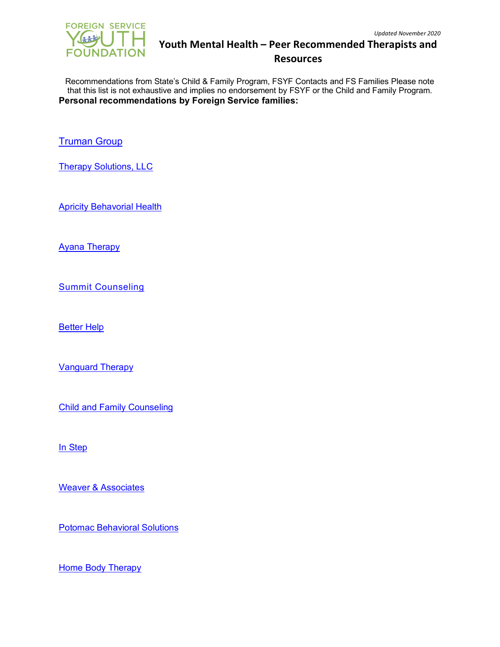Recommendations from State's Child & Family Program, FSYF Contacts and FS Families Please note that this list is not exhaustive and implies no endorsement by FSYF or the Child and Family Program. **Personal recommendations by Foreign Service families:**

[Truman Group](https://truman-group.com/)

[Therapy Solutions, LLC](https://www.therapysolns.com/?fbclid=IwAR3OqncR4xhjSXX57TZBzwgGU08ojqbiuV-65S9oO1ayAyviWbHv5wNoxFQ) 

[Apricity Behavorial Health](https://www.apricitybehavioralhealth.com/)

[Ayana Therapy](https://www.ayanatherapy.com/)

[Summit Counseling](https://summitcounselingservices.com/)

[Better Help](https://www.betterhelp.com/) 

[Vanguard Therapy](http://www.vanguardtherapy.com/)

[Child and Family Counseling](https://www.childandfamilycounseling.com/?fbclid=IwAR3HYCqV2s6skb_gCYj0RLprPaiRPX3sCIDMZeKLjos1SocUPdDTo0Ep48s)

[In Step](https://insteppc.com/?fbclid=IwAR23ZZas4ASMT0jzUHhsUyEW2wQR_bRq7_hvqkFDePge0YlRJqdet6gKwk4)

[Weaver & Associates](https://weaverandassociates.net/)

[Potomac Behavioral Solutions](https://www.pbshealthcare.com/)

[Home Body Therapy](https://www.homebodytherapy.com/?fbclid=IwAR2sS7XEVk0rapDkzFVpjYQ12E5Gq6JmAQCTUhDML0mAeRnUvitaLOsIjM8)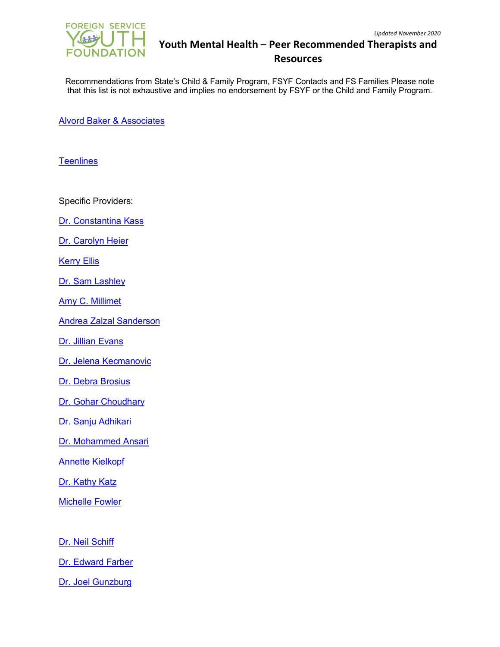

Recommendations from State's Child & Family Program, FSYF Contacts and FS Families Please note that this list is not exhaustive and implies no endorsement by FSYF or the Child and Family Program.

[Alvord Baker & Associates](https://www.alvordbaker.com/)

**[Teenlines](https://teenlines.com/)** 

Specific Providers:

[Dr. Constantina Kass](https://insteppc.com/constantina-n-kass-ph-d-ncsp/)

[Dr. Carolyn Heier](https://www.psychologytoday.com/us/therapists/carolyn-a-heier-mclean-va/327786)

[Kerry Ellis](https://aahs.org/find-a-provider/Kerry-Ellis/)

[Dr. Sam Lashley](https://www.psychologytoday.com/us/therapists/sam-lashley-arlington-va/34445)

[Amy C. Millimet](https://www.millimettherapy.com/?fbclid=IwAR0s2UlTzLtC5hdwbGHOJkuHBm5VBTpJZ4KU5HN8E94kmUN0WLgBCPKkk7c)

[Andrea Zalzal Sanderson](https://www.psychologytoday.com/us/therapists/andrea-zalzal-sanderson-alexandria-va/151306)

[Dr. Jillian Evans](https://health.usnews.com/doctors/jillian-evans-78114)

[Dr. Jelena Kecmanovic](https://arlingtonbehaviortherapy.com/staff/drkpsychologist/?fbclid=IwAR1grcSvJYEIi7J2hHGa3JkCElOcFVUGyVGmW-5_b4l8pGspA0bn3h1sSlo)

[Dr. Debra Brosius](https://debrabrosius.com/?fbclid=IwAR3za0dXxTLqmXbxWs7is-jAGXryTFH3DrZOSDjuHoQ7gm9i91GUI6qGoSc)

[Dr. Gohar Choudhary](https://www.psychologytoday.com/us/psychiatrists/gohar-choudhary-chantilly-va/127573?fbclid=IwAR3VyE29iVnLw9DZhsc8623jBDn77UCrFJOD2INN78JLlGUA3QGP4su1Xzs)

[Dr. Sanju Adhikari](https://hellomypsychiatrist.com/?fbclid=IwAR1rLas9fVyX2wwCttRSVbtcT7RjWxN8QZRxruWydECSZmtVfkpG6XPcsN4)

[Dr. Mohammed Ansari](https://viennabh.com/)

[Annette Kielkopf](http://www.annettekielkopf.com/?fbclid=IwAR1grcSvJYEIi7J2hHGa3JkCElOcFVUGyVGmW-5_b4l8pGspA0bn3h1sSlo)

[Dr. Kathy Katz](https://www.medstarhealth.org/doctor/dr-kathy-silver-katz-phd/)

[Michelle Fowler](https://azcenterformft.com/our_staff/michelle-fowler/)

[Dr. Neil Schiff](https://www.topnpi.com/dc1770697369/dr-neil-schiff)

[Dr. Edward Farber](http://restonpsych.com/about.htm)

[Dr. Joel Gunzburg](https://www.psychologytoday.com/us/therapists/joel-gunzburg-bethesda-md/46313)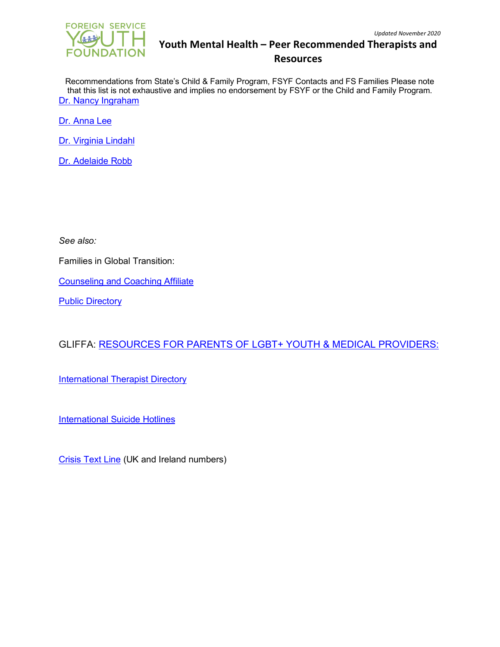

Recommendations from State's Child & Family Program, FSYF Contacts and FS Families Please note that this list is not exhaustive and implies no endorsement by FSYF or the Child and Family Program. [Dr. Nancy Ingraham](https://www.psychologytoday.com/us/therapists/nancy-ingraham-chevy-chase-md/117127)

[Dr. Anna Lee](https://www.psychologytoday.com/us/therapists/anna-c-lee-fairfax-va/77395)

[Dr. Virginia Lindahl](https://www.psychologytoday.com/us/therapists/virginia-lindahl-alexandria-va/42216)

[Dr. Adelaide Robb](https://childrensnational.org/visit/find-a-provider/adelaide-robb)

*See also:*

Families in Global Transition:

[Counseling and Coaching Affiliate](https://www.figt.org/counseling-coaching-affiliate)

**[Public Directory](https://www.figt.org/Member-Directory-Public)** 

GLIFFA: [RESOURCES FOR PARENTS OF LGBT+ YOUTH & MEDICAL PROVIDERS:](https://glifaa.org/2020/03/17/resources-for-parents-of-lgbt-youth-medical-providers/?fbclid=IwAR3ZvsEdKyA-LSL3ahF1eTQTpQLOC_Tj4NmTH0uIuDFbO-GQ6cE_pcWMoN4)

[International Therapist Directory](https://internationaltherapistdirectory.com/)

[International Suicide Hotlines](https://en.wikipedia.org/wiki/List_of_suicide_crisis_lines)

[Crisis Text Line](https://www.crisistextline.org/) (UK and Ireland numbers)